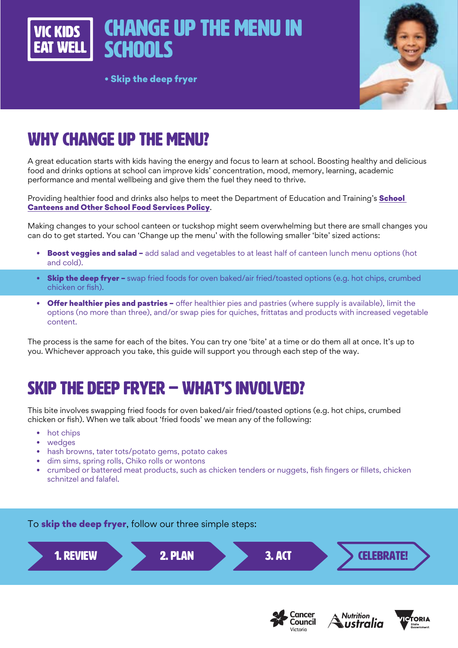

#### • Skip the deep fryer

## WHY CHANGE UP THE MENU?

A great education starts with kids having the energy and focus to learn at school. Boosting healthy and delicious food and drinks options at school can improve kids' concentration, mood, memory, learning, academic performance and mental wellbeing and give them the fuel they need to thrive.

Providing healthier food and drinks also helps to meet the Department of Education and Training's **School** [Canteens and Other School Food Services Policy](https://www2.education.vic.gov.au/pal/canteens-and-healthy-eating/policy).

Making changes to your school canteen or tuckshop might seem overwhelming but there are small changes you can do to get started. You can 'Change up the menu' with the following smaller 'bite' sized actions:

- Boost veggies and salad add salad and vegetables to at least half of canteen lunch menu options (hot and cold).
- **Skip the deep fryer –** swap fried foods for oven baked/air fried/toasted options (e.g. hot chips, crumbed chicken or fish).
- Offer healthier pies and pastries offer healthier pies and pastries (where supply is available), limit the options (no more than three), and/or swap pies for quiches, frittatas and products with increased vegetable content.

The process is the same for each of the bites. You can try one 'bite' at a time or do them all at once. It's up to you. Whichever approach you take, this guide will support you through each step of the way.

## SKIP THE DEEP FRYER – WHAT'S INVOLVED?

This bite involves swapping fried foods for oven baked/air fried/toasted options (e.g. hot chips, crumbed chicken or fish). When we talk about 'fried foods' we mean any of the following:

- hot chips
- wedges
- hash browns, tater tots/potato gems, potato cakes
- dim sims, spring rolls, Chiko rolls or wontons
- crumbed or battered meat products, such as chicken tenders or nuggets, fish fingers or fillets, chicken schnitzel and falafel.







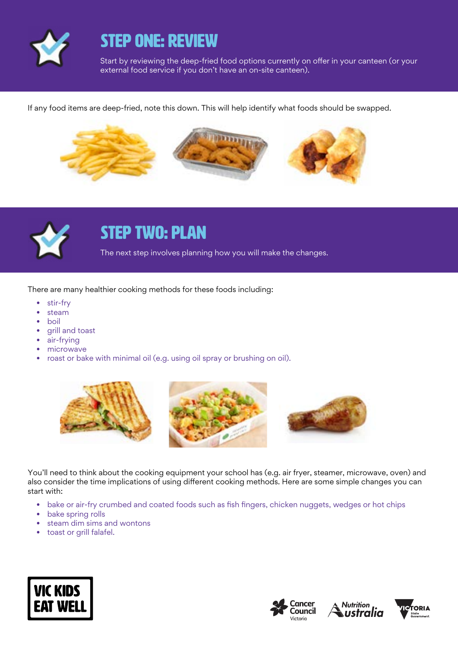

### STEP ONE: REVIEW

Start by reviewing the deep-fried food options currently on offer in your canteen (or your external food service if you don't have an on-site canteen).

If any food items are deep-fried, note this down. This will help identify what foods should be swapped.





## STEP TWO: PLAN

The next step involves planning how you will make the changes.

There are many healthier cooking methods for these foods including:

- stir-fry
- steam
- boil
- grill and toast
- air-frying
- microwave
- roast or bake with minimal oil (e.g. using oil spray or brushing on oil).



You'll need to think about the cooking equipment your school has (e.g. air fryer, steamer, microwave, oven) and also consider the time implications of using different cooking methods. Here are some simple changes you can start with:

- bake or air-fry crumbed and coated foods such as fish fingers, chicken nuggets, wedges or hot chips
- bake spring rolls
- steam dim sims and wontons
- toast or grill falafel.







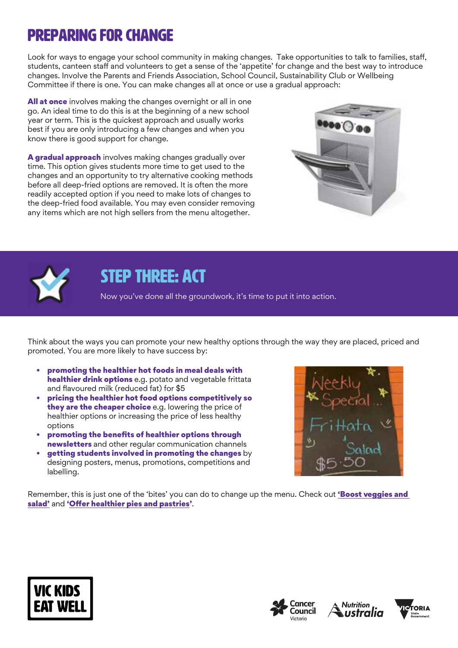# Preparing for change

Look for ways to engage your school community in making changes. Take opportunities to talk to families, staff, students, canteen staff and volunteers to get a sense of the 'appetite' for change and the best way to introduce changes. Involve the Parents and Friends Association, School Council, Sustainability Club or Wellbeing Committee if there is one. You can make changes all at once or use a gradual approach:

All at once involves making the changes overnight or all in one go. An ideal time to do this is at the beginning of a new school year or term. This is the quickest approach and usually works best if you are only introducing a few changes and when you know there is good support for change.

A gradual approach involves making changes gradually over time. This option gives students more time to get used to the changes and an opportunity to try alternative cooking methods before all deep-fried options are removed. It is often the more readily accepted option if you need to make lots of changes to the deep-fried food available. You may even consider removing any items which are not high sellers from the menu altogether.





## STEP THREE: ACT

Now you've done all the groundwork, it's time to put it into action.

Think about the ways you can promote your new healthy options through the way they are placed, priced and promoted. You are more likely to have success by:

- promoting the healthier hot foods in meal deals with healthier drink options e.g. potato and vegetable frittata and flavoured milk (reduced fat) for \$5
- pricing the healthier hot food options competitively so they are the cheaper choice e.g. lowering the price of healthier options or increasing the price of less healthy options
- promoting the benefits of healthier options through newsletters and other regular communication channels
- getting students involved in promoting the changes by designing posters, menus, promotions, competitions and labelling.



Remember, this is just one of the 'bites' you can do to change up the menu. Check out 'Boost veggies and [salad'](https://www.vickidseatwell.health.vic.gov.au/resources) and '[Offer healthier pies and pastries](https://www.vickidseatwell.health.vic.gov.au/resources)'.